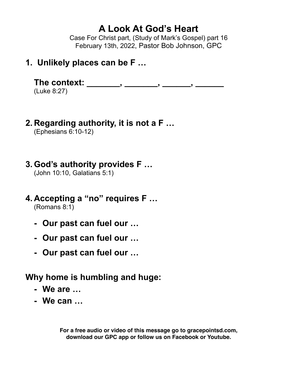# **A Look At God's Heart**

Case For Christ part, (Study of Mark's Gospel) part 16 February 13th, 2022, Pastor Bob Johnson, GPC

## **1. Unlikely places can be F …**

The context: \_\_\_\_\_\_\_, \_\_\_\_\_\_, \_\_\_\_\_\_, \_\_\_\_\_\_\_,

(Luke 8:27)

**2. Regarding authority, it is not a F …**

(Ephesians 6:10-12)

# **3. God's authority provides F …**

(John 10:10, Galatians 5:1)

### **4. Accepting a "no" requires F …** (Romans 8:1)

- **- Our past can fuel our …**
- **- Our past can fuel our …**
- **- Our past can fuel our …**

## **Why home is humbling and huge:**

- **- We are …**
- **- We can …**

**For a free audio or video of this message go to gracepointsd.com, download our GPC app or follow us on Facebook or Youtube.**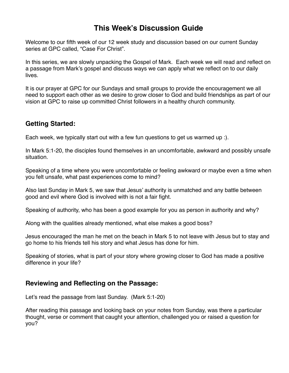## **This Week's Discussion Guide**

Welcome to our fifth week of our 12 week study and discussion based on our current Sunday series at GPC called, "Case For Christ".

In this series, we are slowly unpacking the Gospel of Mark. Each week we will read and reflect on a passage from Mark's gospel and discuss ways we can apply what we reflect on to our daily lives.

It is our prayer at GPC for our Sundays and small groups to provide the encouragement we all need to support each other as we desire to grow closer to God and build friendships as part of our vision at GPC to raise up committed Christ followers in a healthy church community.

### **Getting Started:**

Each week, we typically start out with a few fun questions to get us warmed up :).

In Mark 5:1-20, the disciples found themselves in an uncomfortable, awkward and possibly unsafe situation.

Speaking of a time where you were uncomfortable or feeling awkward or maybe even a time when you felt unsafe, what past experiences come to mind?

Also last Sunday in Mark 5, we saw that Jesus' authority is unmatched and any battle between good and evil where God is involved with is not a fair fight.

Speaking of authority, who has been a good example for you as person in authority and why?

Along with the qualities already mentioned, what else makes a good boss?

Jesus encouraged the man he met on the beach in Mark 5 to not leave with Jesus but to stay and go home to his friends tell his story and what Jesus has done for him.

Speaking of stories, what is part of your story where growing closer to God has made a positive difference in your life?

### **Reviewing and Reflecting on the Passage:**

Let's read the passage from last Sunday. (Mark 5:1-20)

After reading this passage and looking back on your notes from Sunday, was there a particular thought, verse or comment that caught your attention, challenged you or raised a question for you?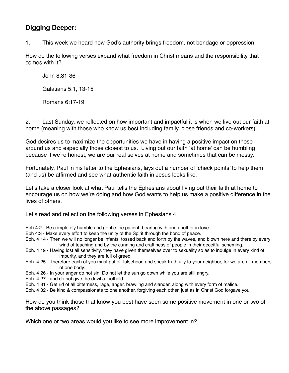## **Digging Deeper:**

1. This week we heard how God's authority brings freedom, not bondage or oppression.

How do the following verses expand what freedom in Christ means and the responsibility that comes with it?

John 8:31-36

Galatians 5:1, 13-15

Romans 6:17-19

2. Last Sunday, we reflected on how important and impactful it is when we live out our faith at home (meaning with those who know us best including family, close friends and co-workers).

God desires us to maximize the opportunities we have in having a positive impact on those around us and especially those closest to us. Living out our faith 'at home' can be humbling because if we're honest, we are our real selves at home and sometimes that can be messy.

Fortunately, Paul in his letter to the Ephesians, lays out a number of 'check points' to help them (and us) be affirmed and see what authentic faith in Jesus looks like.

Let's take a closer look at what Paul tells the Ephesians about living out their faith at home to encourage us on how we're doing and how God wants to help us make a positive difference in the lives of others.

Let's read and reflect on the following verses in Ephesians 4.

- Eph 4:2 Be completely humble and gentle; be patient, bearing with one another in love.
- Eph 4:3 Make every effort to keep the unity of the Spirit through the bond of peace.
- Eph. 4:14 Then we will no longer be infants, tossed back and forth by the waves, and blown here and there by every wind of teaching and by the cunning and craftiness of people in their deceitful scheming.
- Eph. 4:19 Having lost all sensitivity, they have given themselves over to sexuality so as to indulge in every kind of impurity, and they are full of greed.
- Eph. 4:25 Therefore each of you must put off falsehood and speak truthfully to your neighbor, for we are all members of one body.
- Eph. 4:26 In your anger do not sin. Do not let the sun go down while you are still angry.
- Eph. 4:27 and do not give the devil a foothold.
- Eph. 4:31 Get rid of all bitterness, rage, anger, brawling and slander, along with every form of malice.
- Eph. 4:32 Be kind & compassionate to one another, forgiving each other, just as in Christ God forgave you.

How do you think those that know you best have seen some positive movement in one or two of the above passages?

Which one or two areas would you like to see more improvement in?